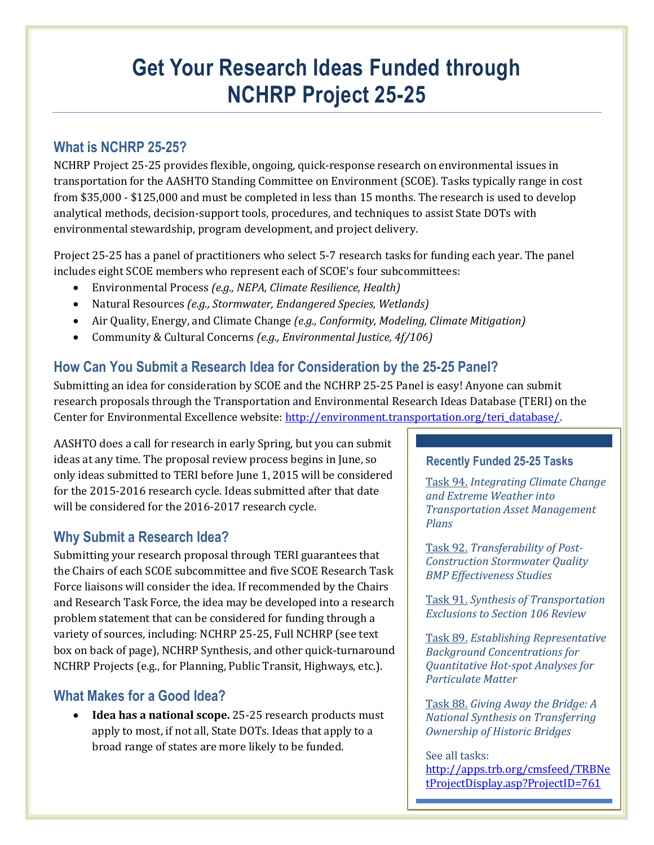# **Get Your Research Ideas Funded through NCHRP Project 25-25**

## **What is NCHRP 25-25?**

NCHRP Project 25-25 provides flexible, ongoing, quick-response research on environmental issues in transportation for the AASHTO Standing Committee on Environment (SCOE). Tasks typically range in cost from \$35,000 - \$125,000 and must be completed in less than 15 months. The research is used to develop analytical methods, decision-support tools, procedures, and techniques to assist State DOTs with environmental stewardship, program development, and project delivery.

Project 25-25 has a panel of practitioners who select 5-7 research tasks for funding each year. The panel includes eight SCOE members who represent each of SCOE's four subcommittees:

- Environmental Process *(e.g., NEPA, Climate Resilience, Health)*
- Natural Resources *(e.g., Stormwater, Endangered Species, Wetlands)*
- Air Quality, Energy, and Climate Change *(e.g., Conformity, Modeling, Climate Mitigation)*
- Community & Cultural Concerns *(e.g., Environmental Justice, 4f/106)*

# **How Can You Submit a Research Idea for Consideration by the 25-25 Panel?**

Submitting an idea for consideration by SCOE and the NCHRP 25-25 Panel is easy! Anyone can submit research proposals through the Transportation and Environmental Research Ideas Database (TERI) on the Center for Environmental Excellence website: [http://environment.transportation.org/teri\\_database/.](http://environment.transportation.org/teri_database/)

AASHTO does a call for research in early Spring, but you can submit ideas at any time. The proposal review process begins in June, so only ideas submitted to TERI before June 1, 2015 will be considered for the 2015-2016 research cycle. Ideas submitted after that date will be considered for the 2016-2017 research cycle.

# **Why Submit a Research Idea?**

Submitting your research proposal through TERI guarantees that the Chairs of each SCOE subcommittee and five SCOE Research Task Force liaisons will consider the idea. If recommended by the Chairs and Research Task Force, the idea may be developed into a research problem statement that can be considered for funding through a variety of sources, including: NCHRP 25-25, Full NCHRP (see text box on back of page), NCHRP Synthesis, and other quick-turnaround NCHRP Projects (e.g., for Planning, Public Transit, Highways, etc.).

### **What Makes for a Good Idea?**

 **Idea has a national scope.** 25-25 research products must apply to most, if not all, State DOTs. Ideas that apply to a broad range of states are more likely to be funded.

#### **Recently Funded 25-25 Tasks**

Task 94. *Integrating Climate Change and Extreme Weather into Transportation Asset Management Plans*

Task 92. *Transferability of Post-Construction Stormwater Quality BMP Effectiveness Studies*

Task 91. *Synthesis of Transportation Exclusions to Section 106 Review*

Task 89. *Establishing Representative Background Concentrations for Quantitative Hot-spot Analyses for Particulate Matter*

Task 88. *Giving Away the Bridge: A National Synthesis on Transferring Ownership of Historic Bridges*

#### See all tasks:

[http://apps.trb.org/cmsfeed/TRBNe](http://apps.trb.org/cmsfeed/TRBNetProjectDisplay.asp?ProjectID=761) [tProjectDisplay.asp?ProjectID=761](http://apps.trb.org/cmsfeed/TRBNetProjectDisplay.asp?ProjectID=761)